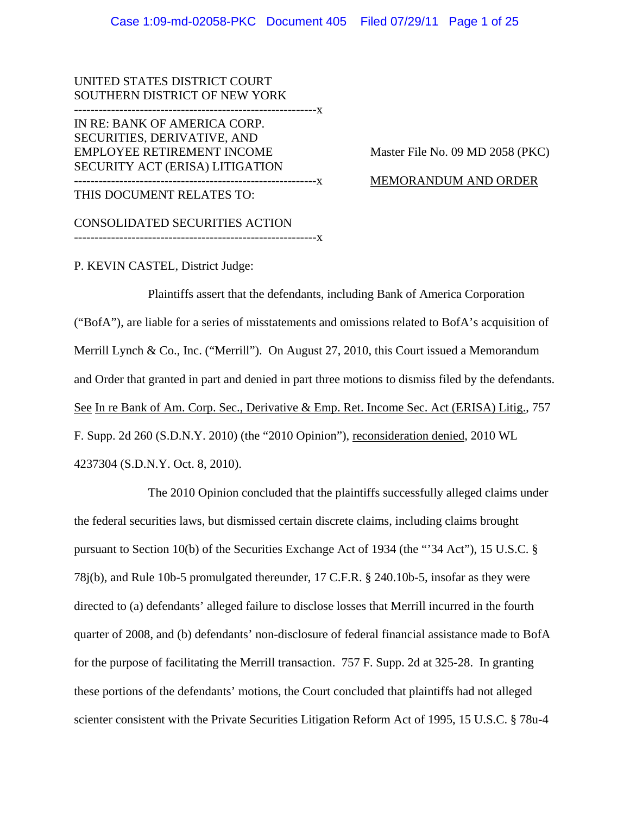UNITED STATES DISTRICT COURT SOUTHERN DISTRICT OF NEW YORK -----------------------------------------------------------x IN RE: BANK OF AMERICA CORP. SECURITIES, DERIVATIVE, AND EMPLOYEE RETIREMENT INCOME Master File No. 09 MD 2058 (PKC) SECURITY ACT (ERISA) LITIGATION -----------------------------------------------------------x MEMORANDUM AND ORDER THIS DOCUMENT RELATES TO:

CONSOLIDATED SECURITIES ACTION

-----------------------------------------------------------x

P. KEVIN CASTEL, District Judge:

Plaintiffs assert that the defendants, including Bank of America Corporation ("BofA"), are liable for a series of misstatements and omissions related to BofA's acquisition of Merrill Lynch & Co., Inc. ("Merrill"). On August 27, 2010, this Court issued a Memorandum and Order that granted in part and denied in part three motions to dismiss filed by the defendants. See In re Bank of Am. Corp. Sec., Derivative & Emp. Ret. Income Sec. Act (ERISA) Litig., 757 F. Supp. 2d 260 (S.D.N.Y. 2010) (the "2010 Opinion"), reconsideration denied, 2010 WL 4237304 (S.D.N.Y. Oct. 8, 2010).

The 2010 Opinion concluded that the plaintiffs successfully alleged claims under the federal securities laws, but dismissed certain discrete claims, including claims brought pursuant to Section 10(b) of the Securities Exchange Act of 1934 (the "'34 Act"), 15 U.S.C. § 78j(b), and Rule 10b-5 promulgated thereunder, 17 C.F.R. § 240.10b-5, insofar as they were directed to (a) defendants' alleged failure to disclose losses that Merrill incurred in the fourth quarter of 2008, and (b) defendants' non-disclosure of federal financial assistance made to BofA for the purpose of facilitating the Merrill transaction. 757 F. Supp. 2d at 325-28. In granting these portions of the defendants' motions, the Court concluded that plaintiffs had not alleged scienter consistent with the Private Securities Litigation Reform Act of 1995, 15 U.S.C. § 78u-4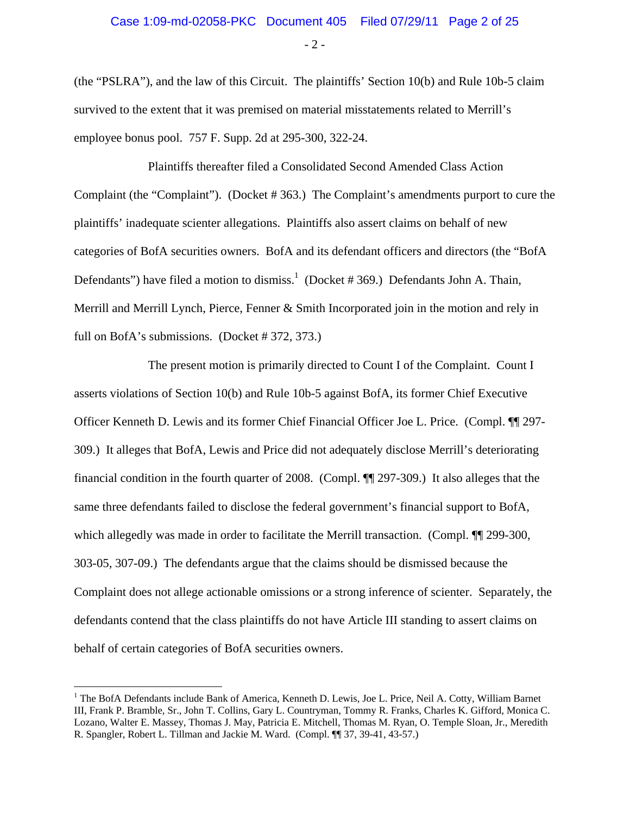$-2-$ 

(the "PSLRA"), and the law of this Circuit. The plaintiffs' Section 10(b) and Rule 10b-5 claim survived to the extent that it was premised on material misstatements related to Merrill's employee bonus pool. 757 F. Supp. 2d at 295-300, 322-24.

Plaintiffs thereafter filed a Consolidated Second Amended Class Action Complaint (the "Complaint"). (Docket # 363.) The Complaint's amendments purport to cure the plaintiffs' inadequate scienter allegations. Plaintiffs also assert claims on behalf of new categories of BofA securities owners. BofA and its defendant officers and directors (the "BofA Defendants") have filed a motion to dismiss.<sup>1</sup> (Docket # 369.) Defendants John A. Thain, Merrill and Merrill Lynch, Pierce, Fenner & Smith Incorporated join in the motion and rely in full on BofA's submissions. (Docket # 372, 373.)

The present motion is primarily directed to Count I of the Complaint. Count I asserts violations of Section 10(b) and Rule 10b-5 against BofA, its former Chief Executive Officer Kenneth D. Lewis and its former Chief Financial Officer Joe L. Price. (Compl. ¶¶ 297- 309.) It alleges that BofA, Lewis and Price did not adequately disclose Merrill's deteriorating financial condition in the fourth quarter of 2008. (Compl. ¶¶ 297-309.) It also alleges that the same three defendants failed to disclose the federal government's financial support to BofA, which allegedly was made in order to facilitate the Merrill transaction. (Compl.  $\P$  299-300, 303-05, 307-09.) The defendants argue that the claims should be dismissed because the Complaint does not allege actionable omissions or a strong inference of scienter. Separately, the defendants contend that the class plaintiffs do not have Article III standing to assert claims on behalf of certain categories of BofA securities owners.

 $\overline{a}$ 

<sup>&</sup>lt;sup>1</sup> The BofA Defendants include Bank of America, Kenneth D. Lewis, Joe L. Price, Neil A. Cotty, William Barnet III, Frank P. Bramble, Sr., John T. Collins, Gary L. Countryman, Tommy R. Franks, Charles K. Gifford, Monica C. Lozano, Walter E. Massey, Thomas J. May, Patricia E. Mitchell, Thomas M. Ryan, O. Temple Sloan, Jr., Meredith R. Spangler, Robert L. Tillman and Jackie M. Ward. (Compl. ¶¶ 37, 39-41, 43-57.)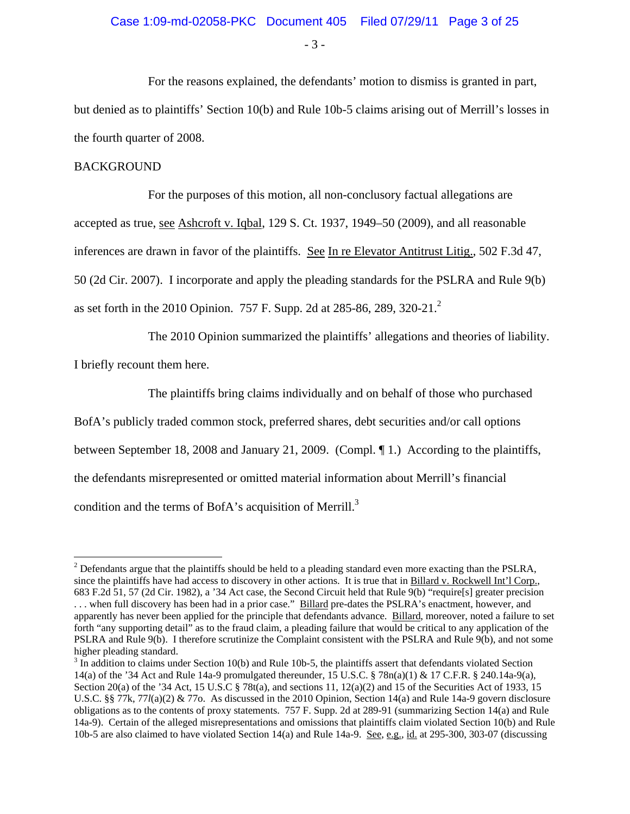- 3 -

For the reasons explained, the defendants' motion to dismiss is granted in part, but denied as to plaintiffs' Section 10(b) and Rule 10b-5 claims arising out of Merrill's losses in the fourth quarter of 2008.

#### BACKGROUND

For the purposes of this motion, all non-conclusory factual allegations are accepted as true, see Ashcroft v. Iqbal, 129 S. Ct. 1937, 1949–50 (2009), and all reasonable inferences are drawn in favor of the plaintiffs. See In re Elevator Antitrust Litig., 502 F.3d 47, 50 (2d Cir. 2007). I incorporate and apply the pleading standards for the PSLRA and Rule 9(b) as set forth in the 2010 Opinion. 757 F. Supp. 2d at 285-86, 289, 320-21.<sup>2</sup>

The 2010 Opinion summarized the plaintiffs' allegations and theories of liability.

I briefly recount them here.

The plaintiffs bring claims individually and on behalf of those who purchased BofA's publicly traded common stock, preferred shares, debt securities and/or call options between September 18, 2008 and January 21, 2009. (Compl. ¶ 1.) According to the plaintiffs, the defendants misrepresented or omitted material information about Merrill's financial

condition and the terms of BofA's acquisition of Merrill.<sup>3</sup>

 $\overline{a}$  $2^{2}$  Defendants argue that the plaintiffs should be held to a pleading standard even more exacting than the PSLRA, since the plaintiffs have had access to discovery in other actions. It is true that in Billard v. Rockwell Int'l Corp., 683 F.2d 51, 57 (2d Cir. 1982), a '34 Act case, the Second Circuit held that Rule 9(b) "require[s] greater precision . . . when full discovery has been had in a prior case." Billard pre-dates the PSLRA's enactment, however, and apparently has never been applied for the principle that defendants advance. Billard, moreover, noted a failure to set forth "any supporting detail" as to the fraud claim, a pleading failure that would be critical to any application of the PSLRA and Rule 9(b). I therefore scrutinize the Complaint consistent with the PSLRA and Rule 9(b), and not some higher pleading standard.

 $3 \text{ In addition to claims under Section 10(b) and Rule 10b-5, the plaintexts is a useful method.}$ 14(a) of the '34 Act and Rule 14a-9 promulgated thereunder, 15 U.S.C. § 78n(a)(1) & 17 C.F.R. § 240.14a-9(a), Section 20(a) of the '34 Act, 15 U.S.C § 78t(a), and sections 11, 12(a)(2) and 15 of the Securities Act of 1933, 15 U.S.C. §§ 77k, 77*l*(a)(2) & 77o. As discussed in the 2010 Opinion, Section 14(a) and Rule 14a-9 govern disclosure obligations as to the contents of proxy statements. 757 F. Supp. 2d at 289-91 (summarizing Section 14(a) and Rule 14a-9). Certain of the alleged misrepresentations and omissions that plaintiffs claim violated Section 10(b) and Rule 10b-5 are also claimed to have violated Section 14(a) and Rule 14a-9. See, e.g., id. at 295-300, 303-07 (discussing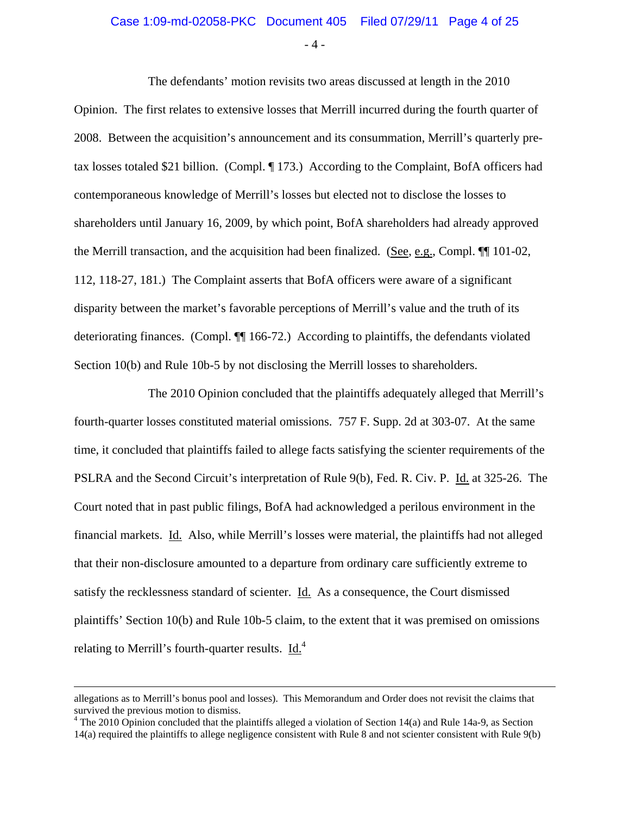- 4 -

The defendants' motion revisits two areas discussed at length in the 2010 Opinion. The first relates to extensive losses that Merrill incurred during the fourth quarter of 2008. Between the acquisition's announcement and its consummation, Merrill's quarterly pretax losses totaled \$21 billion. (Compl. ¶ 173.) According to the Complaint, BofA officers had contemporaneous knowledge of Merrill's losses but elected not to disclose the losses to shareholders until January 16, 2009, by which point, BofA shareholders had already approved the Merrill transaction, and the acquisition had been finalized. (See, e.g., Compl. ¶¶ 101-02, 112, 118-27, 181.) The Complaint asserts that BofA officers were aware of a significant disparity between the market's favorable perceptions of Merrill's value and the truth of its deteriorating finances. (Compl. ¶[ 166-72.) According to plaintiffs, the defendants violated Section 10(b) and Rule 10b-5 by not disclosing the Merrill losses to shareholders.

The 2010 Opinion concluded that the plaintiffs adequately alleged that Merrill's fourth-quarter losses constituted material omissions. 757 F. Supp. 2d at 303-07. At the same time, it concluded that plaintiffs failed to allege facts satisfying the scienter requirements of the PSLRA and the Second Circuit's interpretation of Rule 9(b), Fed. R. Civ. P. Id. at 325-26. The Court noted that in past public filings, BofA had acknowledged a perilous environment in the financial markets. Id. Also, while Merrill's losses were material, the plaintiffs had not alleged that their non-disclosure amounted to a departure from ordinary care sufficiently extreme to satisfy the recklessness standard of scienter. <u>Id.</u> As a consequence, the Court dismissed plaintiffs' Section 10(b) and Rule 10b-5 claim, to the extent that it was premised on omissions relating to Merrill's fourth-quarter results. Id.<sup>4</sup>

allegations as to Merrill's bonus pool and losses). This Memorandum and Order does not revisit the claims that survived the previous motion to dismiss.

 $4$  The 2010 Opinion concluded that the plaintiffs alleged a violation of Section 14(a) and Rule 14a-9, as Section 14(a) required the plaintiffs to allege negligence consistent with Rule 8 and not scienter consistent with Rule 9(b)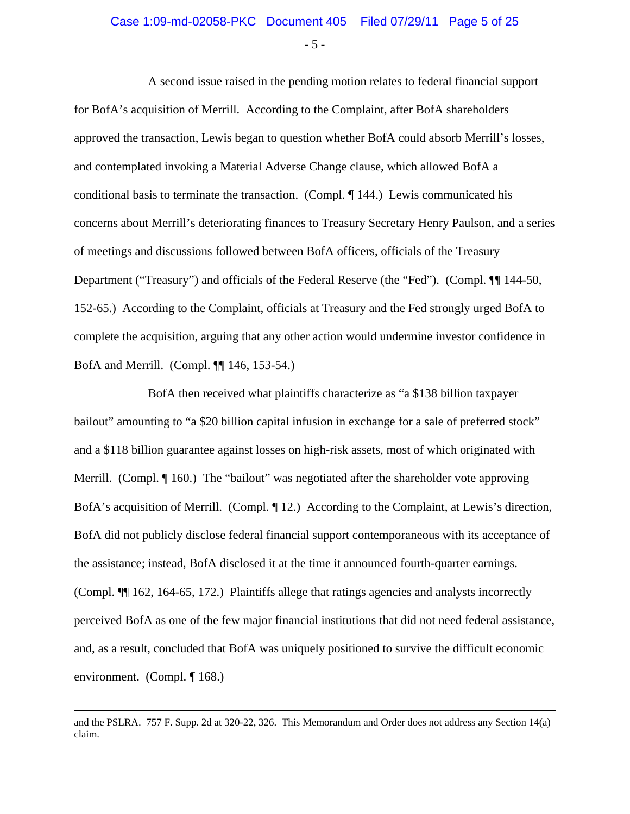- 5 -

A second issue raised in the pending motion relates to federal financial support for BofA's acquisition of Merrill. According to the Complaint, after BofA shareholders approved the transaction, Lewis began to question whether BofA could absorb Merrill's losses, and contemplated invoking a Material Adverse Change clause, which allowed BofA a conditional basis to terminate the transaction. (Compl. ¶ 144.) Lewis communicated his concerns about Merrill's deteriorating finances to Treasury Secretary Henry Paulson, and a series of meetings and discussions followed between BofA officers, officials of the Treasury Department ("Treasury") and officials of the Federal Reserve (the "Fed"). (Compl. ¶¶ 144-50, 152-65.) According to the Complaint, officials at Treasury and the Fed strongly urged BofA to complete the acquisition, arguing that any other action would undermine investor confidence in BofA and Merrill. (Compl. ¶¶ 146, 153-54.)

BofA then received what plaintiffs characterize as "a \$138 billion taxpayer bailout" amounting to "a \$20 billion capital infusion in exchange for a sale of preferred stock" and a \$118 billion guarantee against losses on high-risk assets, most of which originated with Merrill. (Compl. ¶ 160.) The "bailout" was negotiated after the shareholder vote approving BofA's acquisition of Merrill. (Compl. ¶ 12.) According to the Complaint, at Lewis's direction, BofA did not publicly disclose federal financial support contemporaneous with its acceptance of the assistance; instead, BofA disclosed it at the time it announced fourth-quarter earnings. (Compl. ¶¶ 162, 164-65, 172.) Plaintiffs allege that ratings agencies and analysts incorrectly perceived BofA as one of the few major financial institutions that did not need federal assistance, and, as a result, concluded that BofA was uniquely positioned to survive the difficult economic environment. (Compl. ¶ 168.)

and the PSLRA. 757 F. Supp. 2d at 320-22, 326. This Memorandum and Order does not address any Section 14(a) claim.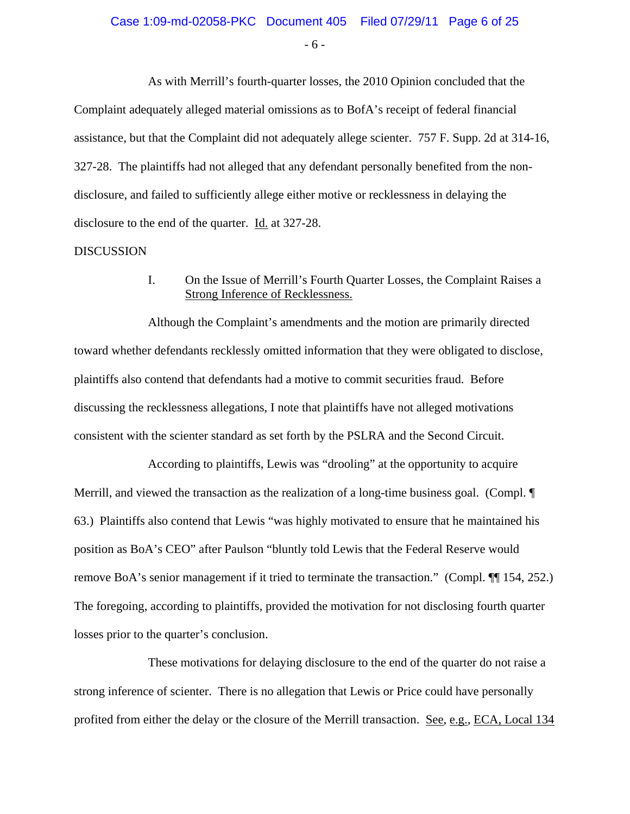- 6 -

As with Merrill's fourth-quarter losses, the 2010 Opinion concluded that the Complaint adequately alleged material omissions as to BofA's receipt of federal financial assistance, but that the Complaint did not adequately allege scienter. 757 F. Supp. 2d at 314-16, 327-28. The plaintiffs had not alleged that any defendant personally benefited from the nondisclosure, and failed to sufficiently allege either motive or recklessness in delaying the disclosure to the end of the quarter. Id. at 327-28.

#### **DISCUSSION**

I. On the Issue of Merrill's Fourth Quarter Losses, the Complaint Raises a Strong Inference of Recklessness.

Although the Complaint's amendments and the motion are primarily directed toward whether defendants recklessly omitted information that they were obligated to disclose, plaintiffs also contend that defendants had a motive to commit securities fraud. Before discussing the recklessness allegations, I note that plaintiffs have not alleged motivations consistent with the scienter standard as set forth by the PSLRA and the Second Circuit.

According to plaintiffs, Lewis was "drooling" at the opportunity to acquire Merrill, and viewed the transaction as the realization of a long-time business goal. (Compl.  $\P$ ) 63.) Plaintiffs also contend that Lewis "was highly motivated to ensure that he maintained his position as BoA's CEO" after Paulson "bluntly told Lewis that the Federal Reserve would remove BoA's senior management if it tried to terminate the transaction." (Compl. ¶¶ 154, 252.) The foregoing, according to plaintiffs, provided the motivation for not disclosing fourth quarter losses prior to the quarter's conclusion.

These motivations for delaying disclosure to the end of the quarter do not raise a strong inference of scienter. There is no allegation that Lewis or Price could have personally profited from either the delay or the closure of the Merrill transaction. See, e.g., ECA, Local 134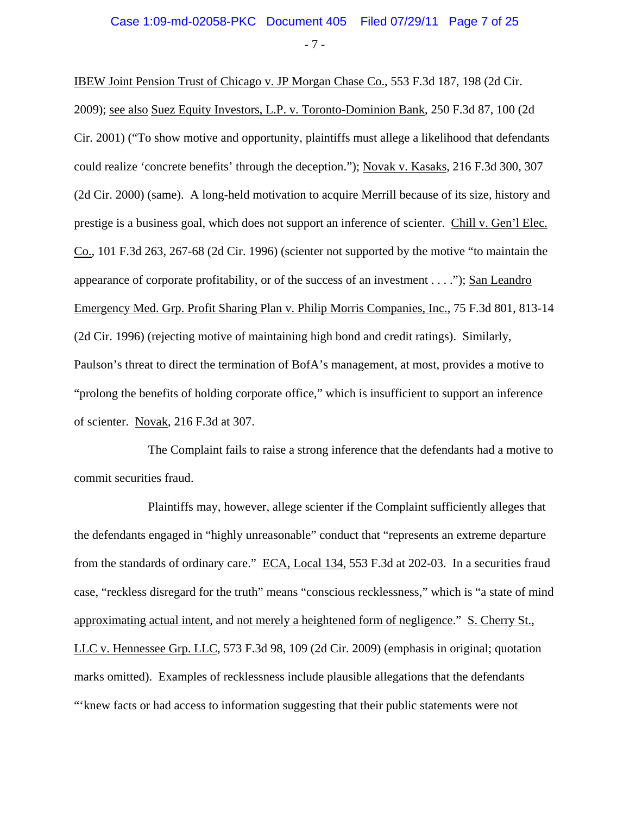- 7 -

IBEW Joint Pension Trust of Chicago v. JP Morgan Chase Co., 553 F.3d 187, 198 (2d Cir. 2009); see also Suez Equity Investors, L.P. v. Toronto-Dominion Bank, 250 F.3d 87, 100 (2d Cir. 2001) ("To show motive and opportunity, plaintiffs must allege a likelihood that defendants could realize 'concrete benefits' through the deception."); Novak v. Kasaks, 216 F.3d 300, 307 (2d Cir. 2000) (same). A long-held motivation to acquire Merrill because of its size, history and prestige is a business goal, which does not support an inference of scienter. Chill v. Gen'l Elec. Co., 101 F.3d 263, 267-68 (2d Cir. 1996) (scienter not supported by the motive "to maintain the appearance of corporate profitability, or of the success of an investment . . . ."); San Leandro Emergency Med. Grp. Profit Sharing Plan v. Philip Morris Companies, Inc., 75 F.3d 801, 813-14 (2d Cir. 1996) (rejecting motive of maintaining high bond and credit ratings). Similarly, Paulson's threat to direct the termination of BofA's management, at most, provides a motive to "prolong the benefits of holding corporate office," which is insufficient to support an inference of scienter. Novak, 216 F.3d at 307.

The Complaint fails to raise a strong inference that the defendants had a motive to commit securities fraud.

Plaintiffs may, however, allege scienter if the Complaint sufficiently alleges that the defendants engaged in "highly unreasonable" conduct that "represents an extreme departure from the standards of ordinary care." ECA, Local 134, 553 F.3d at 202-03. In a securities fraud case, "reckless disregard for the truth" means "conscious recklessness," which is "a state of mind approximating actual intent, and not merely a heightened form of negligence." S. Cherry St., LLC v. Hennessee Grp. LLC, 573 F.3d 98, 109 (2d Cir. 2009) (emphasis in original; quotation marks omitted).Examples of recklessness include plausible allegations that the defendants "'knew facts or had access to information suggesting that their public statements were not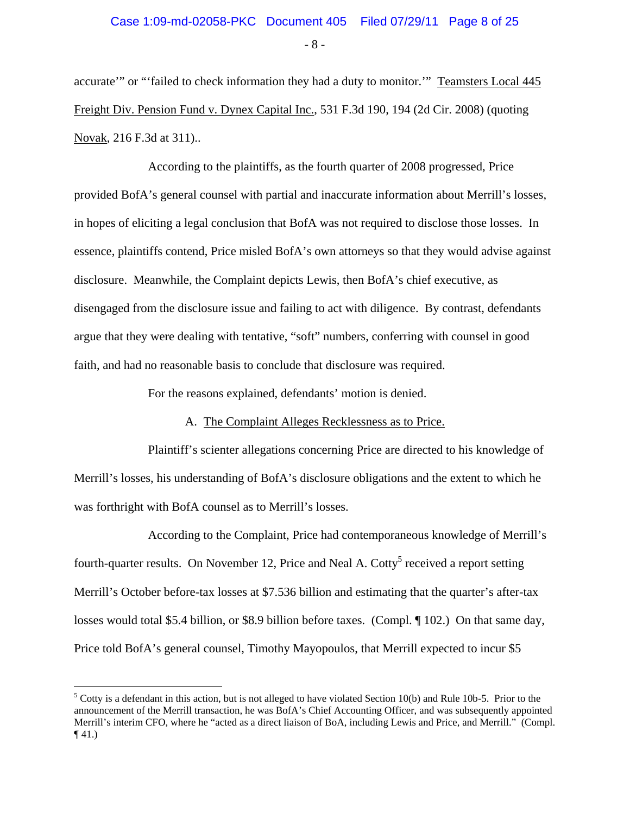- 8 -

accurate'" or "'failed to check information they had a duty to monitor.'" Teamsters Local 445 Freight Div. Pension Fund v. Dynex Capital Inc., 531 F.3d 190, 194 (2d Cir. 2008) (quoting Novak, 216 F.3d at 311)..

According to the plaintiffs, as the fourth quarter of 2008 progressed, Price provided BofA's general counsel with partial and inaccurate information about Merrill's losses, in hopes of eliciting a legal conclusion that BofA was not required to disclose those losses. In essence, plaintiffs contend, Price misled BofA's own attorneys so that they would advise against disclosure. Meanwhile, the Complaint depicts Lewis, then BofA's chief executive, as disengaged from the disclosure issue and failing to act with diligence. By contrast, defendants argue that they were dealing with tentative, "soft" numbers, conferring with counsel in good faith, and had no reasonable basis to conclude that disclosure was required.

For the reasons explained, defendants' motion is denied.

#### A. The Complaint Alleges Recklessness as to Price.

Plaintiff's scienter allegations concerning Price are directed to his knowledge of Merrill's losses, his understanding of BofA's disclosure obligations and the extent to which he was forthright with BofA counsel as to Merrill's losses.

According to the Complaint, Price had contemporaneous knowledge of Merrill's fourth-quarter results. On November 12, Price and Neal A. Cotty<sup>5</sup> received a report setting Merrill's October before-tax losses at \$7.536 billion and estimating that the quarter's after-tax losses would total \$5.4 billion, or \$8.9 billion before taxes. (Compl. ¶ 102.) On that same day, Price told BofA's general counsel, Timothy Mayopoulos, that Merrill expected to incur \$5

<u>.</u>

 $5$  Cotty is a defendant in this action, but is not alleged to have violated Section 10(b) and Rule 10b-5. Prior to the announcement of the Merrill transaction, he was BofA's Chief Accounting Officer, and was subsequently appointed Merrill's interim CFO, where he "acted as a direct liaison of BoA, including Lewis and Price, and Merrill." (Compl.  $\P(41)$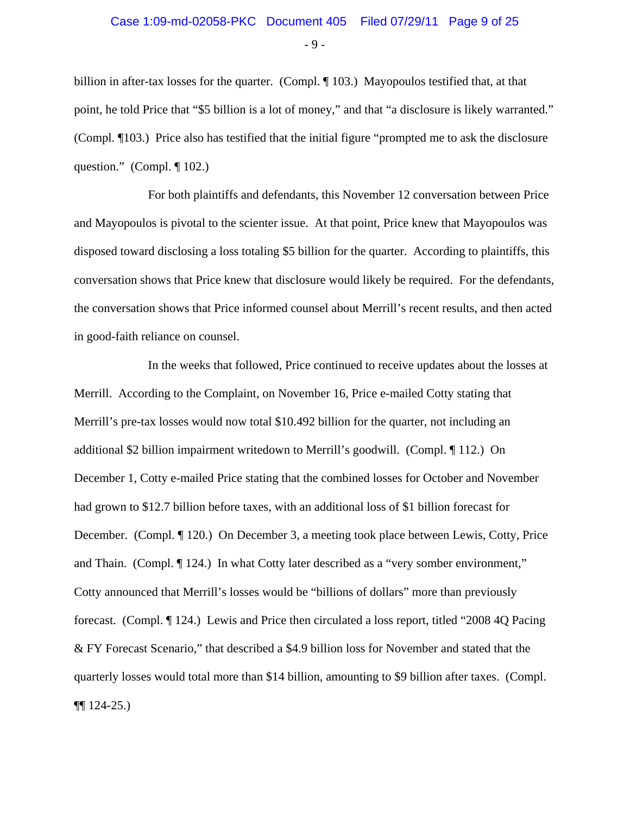- 9 -

billion in after-tax losses for the quarter. (Compl. 103.) Mayopoulos testified that, at that point, he told Price that "\$5 billion is a lot of money," and that "a disclosure is likely warranted." (Compl. ¶103.) Price also has testified that the initial figure "prompted me to ask the disclosure question." (Compl. ¶ 102.)

For both plaintiffs and defendants, this November 12 conversation between Price and Mayopoulos is pivotal to the scienter issue. At that point, Price knew that Mayopoulos was disposed toward disclosing a loss totaling \$5 billion for the quarter. According to plaintiffs, this conversation shows that Price knew that disclosure would likely be required. For the defendants, the conversation shows that Price informed counsel about Merrill's recent results, and then acted in good-faith reliance on counsel.

In the weeks that followed, Price continued to receive updates about the losses at Merrill. According to the Complaint, on November 16, Price e-mailed Cotty stating that Merrill's pre-tax losses would now total \$10.492 billion for the quarter, not including an additional \$2 billion impairment writedown to Merrill's goodwill. (Compl. ¶ 112.) On December 1, Cotty e-mailed Price stating that the combined losses for October and November had grown to \$12.7 billion before taxes, with an additional loss of \$1 billion forecast for December. (Compl. ¶ 120.) On December 3, a meeting took place between Lewis, Cotty, Price and Thain. (Compl. ¶ 124.) In what Cotty later described as a "very somber environment," Cotty announced that Merrill's losses would be "billions of dollars" more than previously forecast. (Compl. ¶ 124.) Lewis and Price then circulated a loss report, titled "2008 4Q Pacing & FY Forecast Scenario," that described a \$4.9 billion loss for November and stated that the quarterly losses would total more than \$14 billion, amounting to \$9 billion after taxes. (Compl. ¶¶ 124-25.)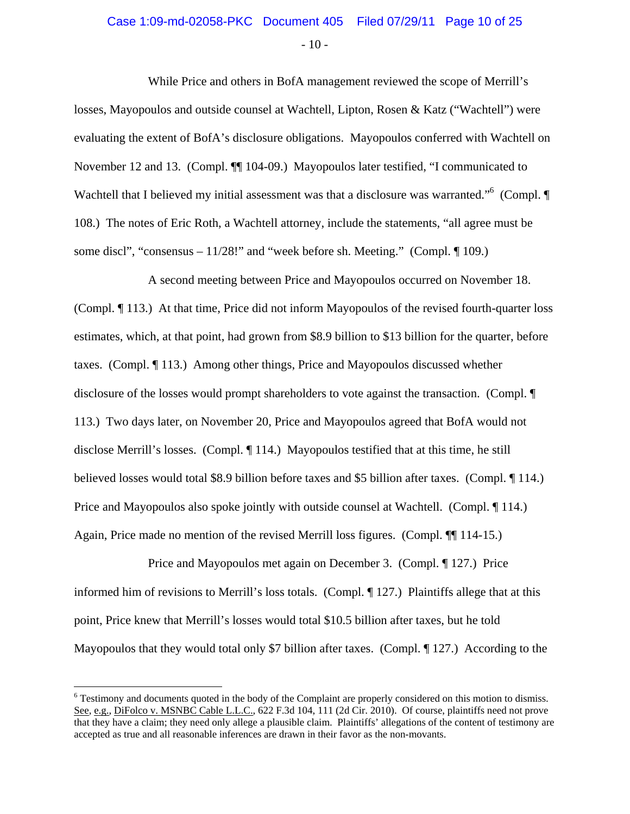# Case 1:09-md-02058-PKC Document 405 Filed 07/29/11 Page 10 of 25

 $-10-$ 

While Price and others in BofA management reviewed the scope of Merrill's losses, Mayopoulos and outside counsel at Wachtell, Lipton, Rosen & Katz ("Wachtell") were evaluating the extent of BofA's disclosure obligations. Mayopoulos conferred with Wachtell on November 12 and 13. (Compl. ¶¶ 104-09.) Mayopoulos later testified, "I communicated to Wachtell that I believed my initial assessment was that a disclosure was warranted."<sup>6</sup> (Compl. ¶ 108.) The notes of Eric Roth, a Wachtell attorney, include the statements, "all agree must be some discl", "consensus –  $11/28!$ " and "week before sh. Meeting." (Compl.  $\P$  109.)

A second meeting between Price and Mayopoulos occurred on November 18. (Compl. ¶ 113.) At that time, Price did not inform Mayopoulos of the revised fourth-quarter loss estimates, which, at that point, had grown from \$8.9 billion to \$13 billion for the quarter, before taxes. (Compl. ¶ 113.) Among other things, Price and Mayopoulos discussed whether disclosure of the losses would prompt shareholders to vote against the transaction. (Compl. ¶ 113.) Two days later, on November 20, Price and Mayopoulos agreed that BofA would not disclose Merrill's losses. (Compl. ¶ 114.) Mayopoulos testified that at this time, he still believed losses would total \$8.9 billion before taxes and \$5 billion after taxes. (Compl. ¶ 114.) Price and Mayopoulos also spoke jointly with outside counsel at Wachtell. (Compl. 114.) Again, Price made no mention of the revised Merrill loss figures. (Compl. ¶¶ 114-15.)

Price and Mayopoulos met again on December 3. (Compl. ¶ 127.) Price informed him of revisions to Merrill's loss totals. (Compl. ¶ 127.) Plaintiffs allege that at this point, Price knew that Merrill's losses would total \$10.5 billion after taxes, but he told Mayopoulos that they would total only \$7 billion after taxes. (Compl. 127.) According to the

<u>.</u>

<sup>&</sup>lt;sup>6</sup> Testimony and documents quoted in the body of the Complaint are properly considered on this motion to dismiss. See, e.g., DiFolco v. MSNBC Cable L.L.C., 622 F.3d 104, 111 (2d Cir. 2010). Of course, plaintiffs need not prove that they have a claim; they need only allege a plausible claim. Plaintiffs' allegations of the content of testimony are accepted as true and all reasonable inferences are drawn in their favor as the non-movants.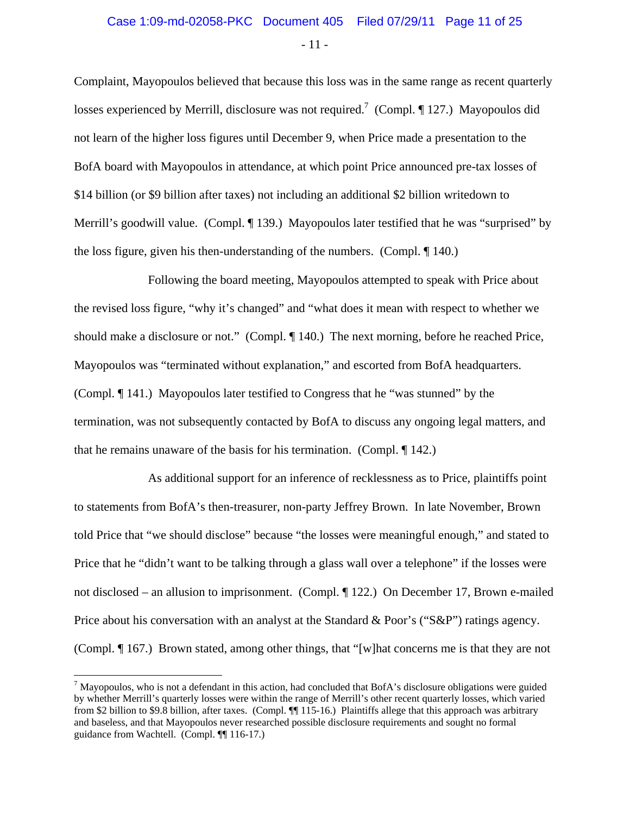#### Case 1:09-md-02058-PKC Document 405 Filed 07/29/11 Page 11 of 25

- 11 -

Complaint, Mayopoulos believed that because this loss was in the same range as recent quarterly losses experienced by Merrill, disclosure was not required.<sup>7</sup> (Compl.  $\P$  127.) Mayopoulos did not learn of the higher loss figures until December 9, when Price made a presentation to the BofA board with Mayopoulos in attendance, at which point Price announced pre-tax losses of \$14 billion (or \$9 billion after taxes) not including an additional \$2 billion writedown to Merrill's goodwill value. (Compl. ¶ 139.) Mayopoulos later testified that he was "surprised" by the loss figure, given his then-understanding of the numbers. (Compl. ¶ 140.)

Following the board meeting, Mayopoulos attempted to speak with Price about the revised loss figure, "why it's changed" and "what does it mean with respect to whether we should make a disclosure or not." (Compl. ¶ 140.) The next morning, before he reached Price, Mayopoulos was "terminated without explanation," and escorted from BofA headquarters. (Compl. ¶ 141.) Mayopoulos later testified to Congress that he "was stunned" by the termination, was not subsequently contacted by BofA to discuss any ongoing legal matters, and that he remains unaware of the basis for his termination. (Compl. ¶ 142.)

As additional support for an inference of recklessness as to Price, plaintiffs point to statements from BofA's then-treasurer, non-party Jeffrey Brown. In late November, Brown told Price that "we should disclose" because "the losses were meaningful enough," and stated to Price that he "didn't want to be talking through a glass wall over a telephone" if the losses were not disclosed – an allusion to imprisonment. (Compl. ¶ 122.) On December 17, Brown e-mailed Price about his conversation with an analyst at the Standard & Poor's ("S&P") ratings agency. (Compl. ¶ 167.) Brown stated, among other things, that "[w]hat concerns me is that they are not

 $\overline{a}$ 

 $^7$  Mayopoulos, who is not a defendant in this action, had concluded that BofA's disclosure obligations were guided by whether Merrill's quarterly losses were within the range of Merrill's other recent quarterly losses, which varied from \$2 billion to \$9.8 billion, after taxes. (Compl. ¶¶ 115-16.) Plaintiffs allege that this approach was arbitrary and baseless, and that Mayopoulos never researched possible disclosure requirements and sought no formal guidance from Wachtell. (Compl. ¶¶ 116-17.)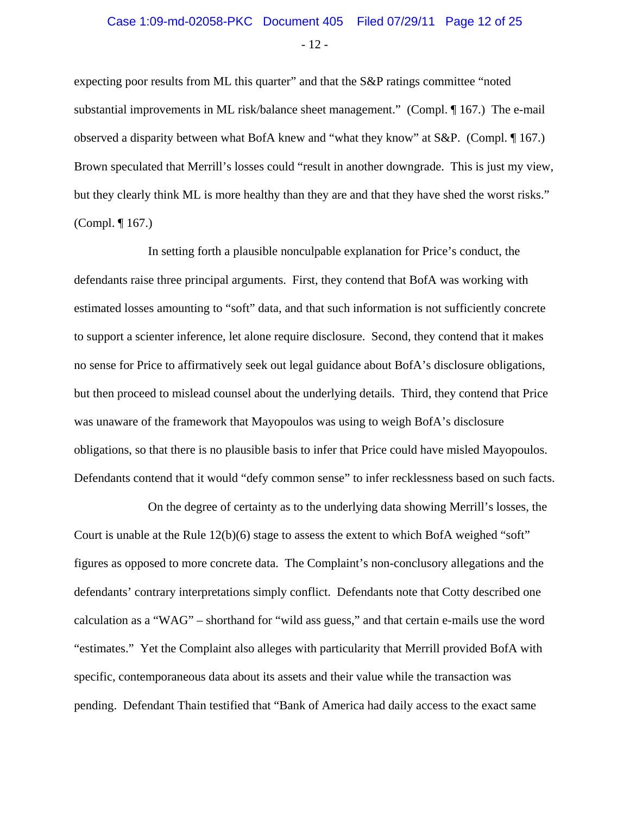# Case 1:09-md-02058-PKC Document 405 Filed 07/29/11 Page 12 of 25

- 12 -

expecting poor results from ML this quarter" and that the S&P ratings committee "noted substantial improvements in ML risk/balance sheet management." (Compl. ¶ 167.) The e-mail observed a disparity between what BofA knew and "what they know" at S&P. (Compl. ¶ 167.) Brown speculated that Merrill's losses could "result in another downgrade. This is just my view, but they clearly think ML is more healthy than they are and that they have shed the worst risks." (Compl. ¶ 167.)

In setting forth a plausible nonculpable explanation for Price's conduct, the defendants raise three principal arguments. First, they contend that BofA was working with estimated losses amounting to "soft" data, and that such information is not sufficiently concrete to support a scienter inference, let alone require disclosure. Second, they contend that it makes no sense for Price to affirmatively seek out legal guidance about BofA's disclosure obligations, but then proceed to mislead counsel about the underlying details. Third, they contend that Price was unaware of the framework that Mayopoulos was using to weigh BofA's disclosure obligations, so that there is no plausible basis to infer that Price could have misled Mayopoulos. Defendants contend that it would "defy common sense" to infer recklessness based on such facts.

On the degree of certainty as to the underlying data showing Merrill's losses, the Court is unable at the Rule 12(b)(6) stage to assess the extent to which BofA weighed "soft" figures as opposed to more concrete data. The Complaint's non-conclusory allegations and the defendants' contrary interpretations simply conflict. Defendants note that Cotty described one calculation as a "WAG" – shorthand for "wild ass guess," and that certain e-mails use the word "estimates." Yet the Complaint also alleges with particularity that Merrill provided BofA with specific, contemporaneous data about its assets and their value while the transaction was pending. Defendant Thain testified that "Bank of America had daily access to the exact same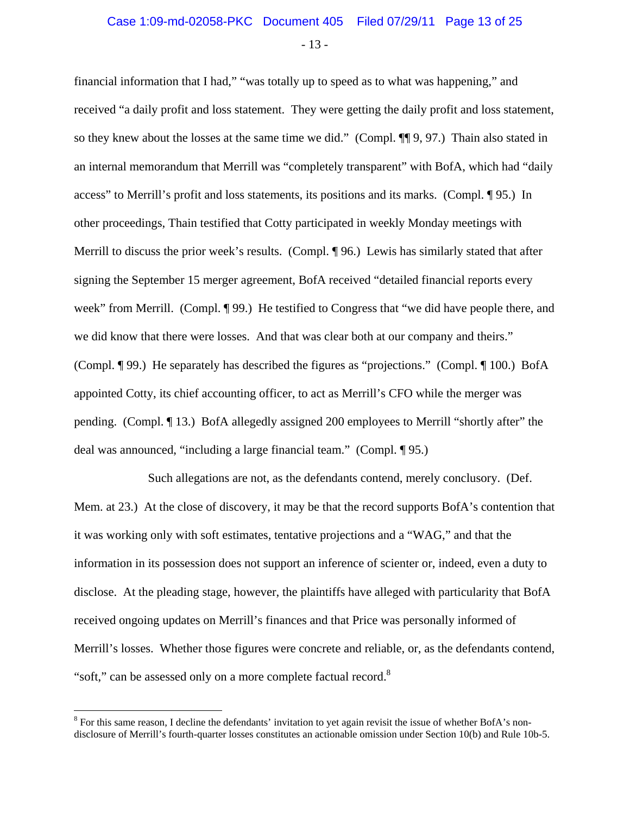- 13 -

financial information that I had," "was totally up to speed as to what was happening," and received "a daily profit and loss statement. They were getting the daily profit and loss statement, so they knew about the losses at the same time we did." (Compl. ¶¶ 9, 97.) Thain also stated in an internal memorandum that Merrill was "completely transparent" with BofA, which had "daily access" to Merrill's profit and loss statements, its positions and its marks. (Compl. ¶ 95.) In other proceedings, Thain testified that Cotty participated in weekly Monday meetings with Merrill to discuss the prior week's results. (Compl. ¶ 96.) Lewis has similarly stated that after signing the September 15 merger agreement, BofA received "detailed financial reports every week" from Merrill. (Compl. ¶ 99.) He testified to Congress that "we did have people there, and we did know that there were losses. And that was clear both at our company and theirs." (Compl. ¶ 99.) He separately has described the figures as "projections." (Compl. ¶ 100.) BofA appointed Cotty, its chief accounting officer, to act as Merrill's CFO while the merger was pending. (Compl. ¶ 13.) BofA allegedly assigned 200 employees to Merrill "shortly after" the deal was announced, "including a large financial team." (Compl. ¶ 95.)

Such allegations are not, as the defendants contend, merely conclusory. (Def. Mem. at 23.) At the close of discovery, it may be that the record supports BofA's contention that it was working only with soft estimates, tentative projections and a "WAG," and that the information in its possession does not support an inference of scienter or, indeed, even a duty to disclose. At the pleading stage, however, the plaintiffs have alleged with particularity that BofA received ongoing updates on Merrill's finances and that Price was personally informed of Merrill's losses. Whether those figures were concrete and reliable, or, as the defendants contend, "soft," can be assessed only on a more complete factual record.<sup>8</sup>

 $\overline{a}$ 

<sup>&</sup>lt;sup>8</sup> For this same reason, I decline the defendants' invitation to yet again revisit the issue of whether BofA's nondisclosure of Merrill's fourth-quarter losses constitutes an actionable omission under Section 10(b) and Rule 10b-5.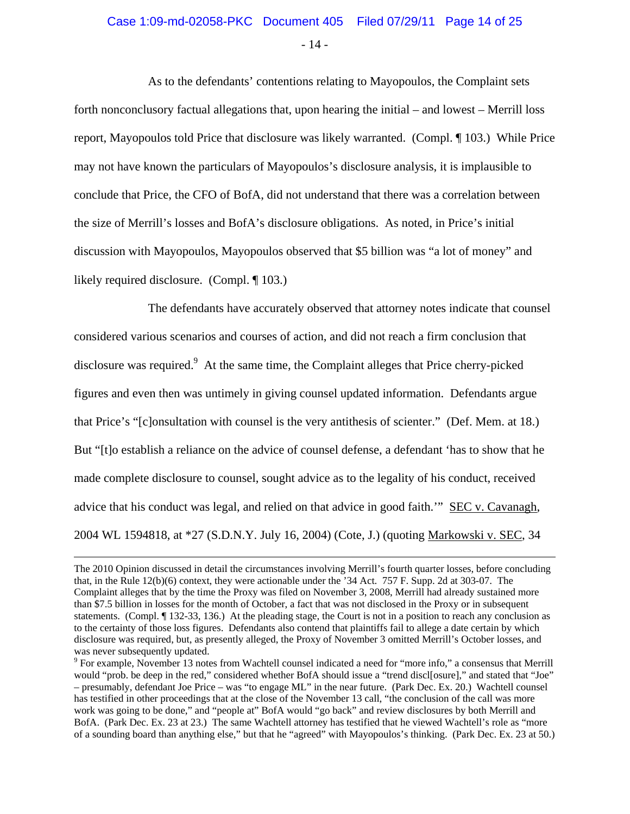### Case 1:09-md-02058-PKC Document 405 Filed 07/29/11 Page 14 of 25

- 14 -

As to the defendants' contentions relating to Mayopoulos, the Complaint sets forth nonconclusory factual allegations that, upon hearing the initial – and lowest – Merrill loss report, Mayopoulos told Price that disclosure was likely warranted. (Compl. ¶ 103.) While Price may not have known the particulars of Mayopoulos's disclosure analysis, it is implausible to conclude that Price, the CFO of BofA, did not understand that there was a correlation between the size of Merrill's losses and BofA's disclosure obligations. As noted, in Price's initial discussion with Mayopoulos, Mayopoulos observed that \$5 billion was "a lot of money" and likely required disclosure. (Compl. ¶ 103.)

The defendants have accurately observed that attorney notes indicate that counsel considered various scenarios and courses of action, and did not reach a firm conclusion that disclosure was required.<sup>9</sup> At the same time, the Complaint alleges that Price cherry-picked figures and even then was untimely in giving counsel updated information. Defendants argue that Price's "[c]onsultation with counsel is the very antithesis of scienter." (Def. Mem. at 18.) But "[t]o establish a reliance on the advice of counsel defense, a defendant 'has to show that he made complete disclosure to counsel, sought advice as to the legality of his conduct, received advice that his conduct was legal, and relied on that advice in good faith.'" SEC v. Cavanagh, 2004 WL 1594818, at \*27 (S.D.N.Y. July 16, 2004) (Cote, J.) (quoting Markowski v. SEC, 34

The 2010 Opinion discussed in detail the circumstances involving Merrill's fourth quarter losses, before concluding that, in the Rule 12(b)(6) context, they were actionable under the '34 Act. 757 F. Supp. 2d at 303-07. The Complaint alleges that by the time the Proxy was filed on November 3, 2008, Merrill had already sustained more than \$7.5 billion in losses for the month of October, a fact that was not disclosed in the Proxy or in subsequent statements. (Compl. ¶ 132-33, 136.) At the pleading stage, the Court is not in a position to reach any conclusion as to the certainty of those loss figures. Defendants also contend that plaintiffs fail to allege a date certain by which disclosure was required, but, as presently alleged, the Proxy of November 3 omitted Merrill's October losses, and was never subsequently updated.

<sup>&</sup>lt;sup>9</sup> For example, November 13 notes from Wachtell counsel indicated a need for "more info," a consensus that Merrill would "prob. be deep in the red," considered whether BofA should issue a "trend discl[osure]," and stated that "Joe" – presumably, defendant Joe Price – was "to engage ML" in the near future. (Park Dec. Ex. 20.) Wachtell counsel has testified in other proceedings that at the close of the November 13 call, "the conclusion of the call was more work was going to be done," and "people at" BofA would "go back" and review disclosures by both Merrill and BofA. (Park Dec. Ex. 23 at 23.) The same Wachtell attorney has testified that he viewed Wachtell's role as "more of a sounding board than anything else," but that he "agreed" with Mayopoulos's thinking. (Park Dec. Ex. 23 at 50.)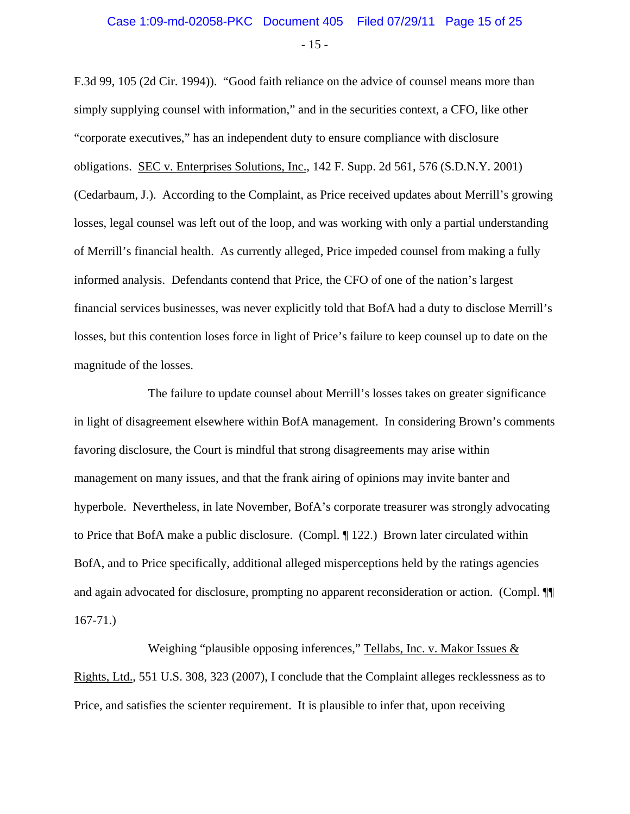## Case 1:09-md-02058-PKC Document 405 Filed 07/29/11 Page 15 of 25

- 15 -

F.3d 99, 105 (2d Cir. 1994)). "Good faith reliance on the advice of counsel means more than simply supplying counsel with information," and in the securities context, a CFO, like other "corporate executives," has an independent duty to ensure compliance with disclosure obligations. SEC v. Enterprises Solutions, Inc., 142 F. Supp. 2d 561, 576 (S.D.N.Y. 2001) (Cedarbaum, J.). According to the Complaint, as Price received updates about Merrill's growing losses, legal counsel was left out of the loop, and was working with only a partial understanding of Merrill's financial health. As currently alleged, Price impeded counsel from making a fully informed analysis. Defendants contend that Price, the CFO of one of the nation's largest financial services businesses, was never explicitly told that BofA had a duty to disclose Merrill's losses, but this contention loses force in light of Price's failure to keep counsel up to date on the magnitude of the losses.

The failure to update counsel about Merrill's losses takes on greater significance in light of disagreement elsewhere within BofA management. In considering Brown's comments favoring disclosure, the Court is mindful that strong disagreements may arise within management on many issues, and that the frank airing of opinions may invite banter and hyperbole. Nevertheless, in late November, BofA's corporate treasurer was strongly advocating to Price that BofA make a public disclosure. (Compl. ¶ 122.) Brown later circulated within BofA, and to Price specifically, additional alleged misperceptions held by the ratings agencies and again advocated for disclosure, prompting no apparent reconsideration or action. (Compl. ¶¶ 167-71.)

Weighing "plausible opposing inferences," Tellabs, Inc. v. Makor Issues & Rights, Ltd., 551 U.S. 308, 323 (2007), I conclude that the Complaint alleges recklessness as to Price, and satisfies the scienter requirement. It is plausible to infer that, upon receiving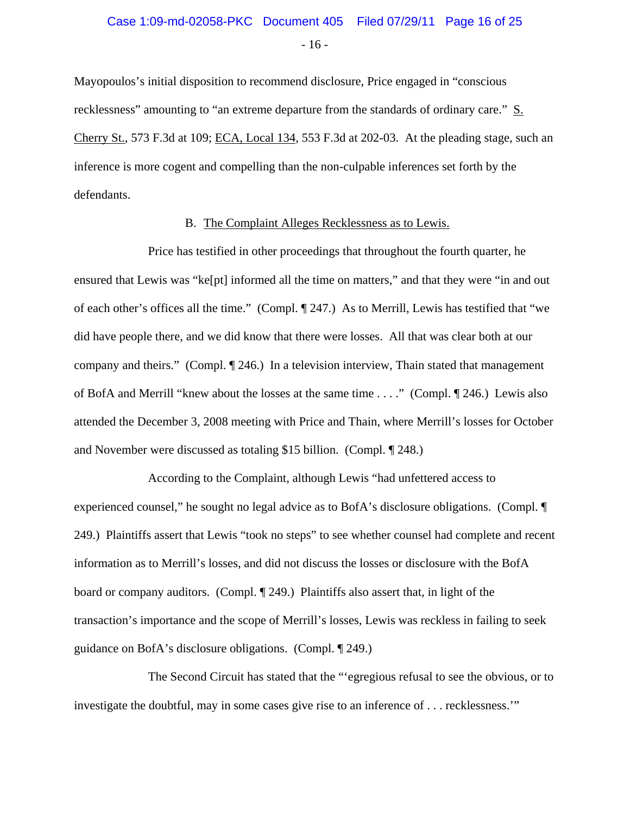- 16 -

Mayopoulos's initial disposition to recommend disclosure, Price engaged in "conscious recklessness" amounting to "an extreme departure from the standards of ordinary care." S. Cherry St., 573 F.3d at 109; ECA, Local 134, 553 F.3d at 202-03. At the pleading stage, such an inference is more cogent and compelling than the non-culpable inferences set forth by the defendants.

#### B. The Complaint Alleges Recklessness as to Lewis.

Price has testified in other proceedings that throughout the fourth quarter, he ensured that Lewis was "ke[pt] informed all the time on matters," and that they were "in and out of each other's offices all the time." (Compl. ¶ 247.) As to Merrill, Lewis has testified that "we did have people there, and we did know that there were losses. All that was clear both at our company and theirs." (Compl. ¶ 246.) In a television interview, Thain stated that management of BofA and Merrill "knew about the losses at the same time . . . ." (Compl. ¶ 246.) Lewis also attended the December 3, 2008 meeting with Price and Thain, where Merrill's losses for October and November were discussed as totaling \$15 billion. (Compl. ¶ 248.)

According to the Complaint, although Lewis "had unfettered access to experienced counsel," he sought no legal advice as to BofA's disclosure obligations. (Compl. ¶ 249.) Plaintiffs assert that Lewis "took no steps" to see whether counsel had complete and recent information as to Merrill's losses, and did not discuss the losses or disclosure with the BofA board or company auditors. (Compl. ¶ 249.) Plaintiffs also assert that, in light of the transaction's importance and the scope of Merrill's losses, Lewis was reckless in failing to seek guidance on BofA's disclosure obligations. (Compl. ¶ 249.)

The Second Circuit has stated that the "'egregious refusal to see the obvious, or to investigate the doubtful, may in some cases give rise to an inference of . . . recklessness.'"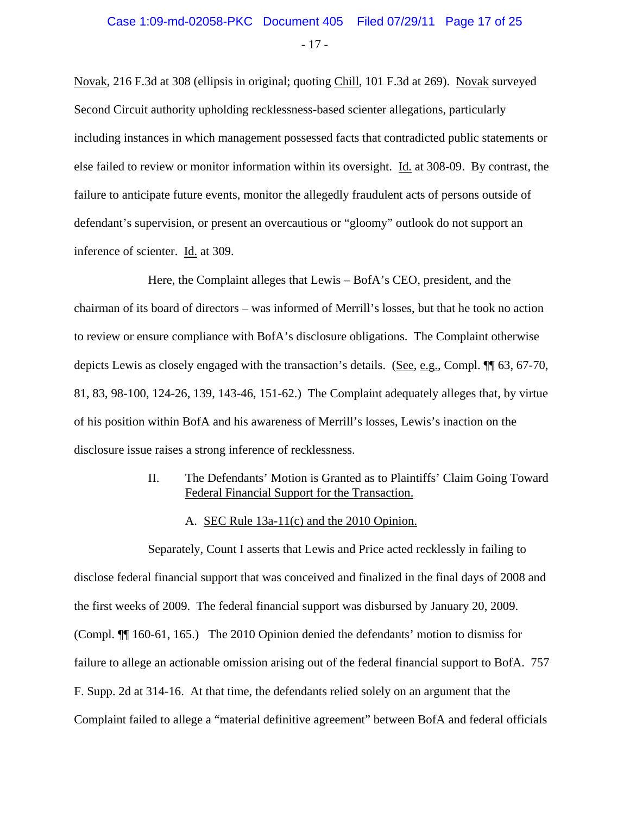Novak, 216 F.3d at 308 (ellipsis in original; quoting Chill, 101 F.3d at 269). Novak surveyed Second Circuit authority upholding recklessness-based scienter allegations, particularly including instances in which management possessed facts that contradicted public statements or else failed to review or monitor information within its oversight. Id. at 308-09. By contrast, the failure to anticipate future events, monitor the allegedly fraudulent acts of persons outside of defendant's supervision, or present an overcautious or "gloomy" outlook do not support an inference of scienter. Id. at 309.

Here, the Complaint alleges that Lewis – BofA's CEO, president, and the chairman of its board of directors – was informed of Merrill's losses, but that he took no action to review or ensure compliance with BofA's disclosure obligations. The Complaint otherwise depicts Lewis as closely engaged with the transaction's details. (See, e.g., Compl. ¶¶ 63, 67-70, 81, 83, 98-100, 124-26, 139, 143-46, 151-62.) The Complaint adequately alleges that, by virtue of his position within BofA and his awareness of Merrill's losses, Lewis's inaction on the disclosure issue raises a strong inference of recklessness.

- II. The Defendants' Motion is Granted as to Plaintiffs' Claim Going Toward Federal Financial Support for the Transaction.
	- A. SEC Rule 13a-11(c) and the 2010 Opinion.

Separately, Count I asserts that Lewis and Price acted recklessly in failing to disclose federal financial support that was conceived and finalized in the final days of 2008 and the first weeks of 2009. The federal financial support was disbursed by January 20, 2009. (Compl. ¶¶ 160-61, 165.) The 2010 Opinion denied the defendants' motion to dismiss for failure to allege an actionable omission arising out of the federal financial support to BofA. 757 F. Supp. 2d at 314-16. At that time, the defendants relied solely on an argument that the Complaint failed to allege a "material definitive agreement" between BofA and federal officials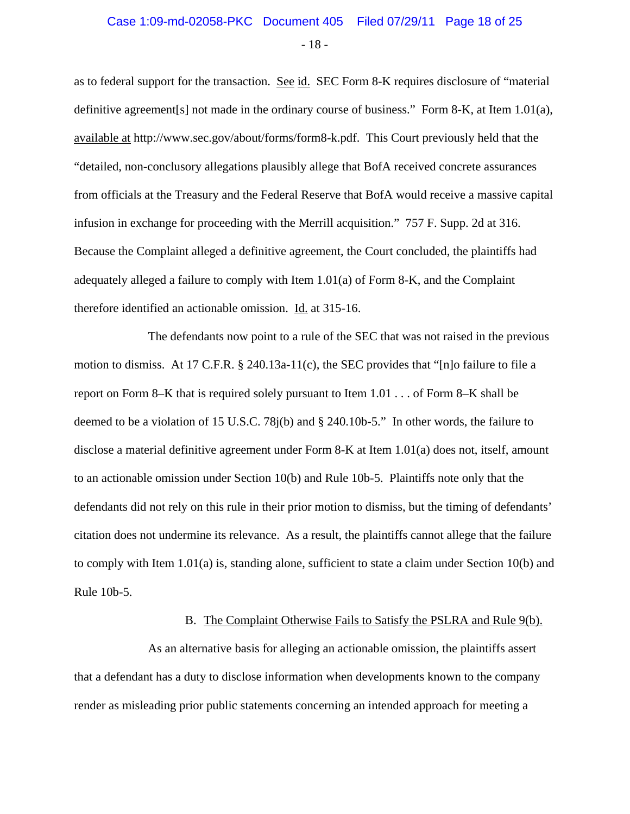# Case 1:09-md-02058-PKC Document 405 Filed 07/29/11 Page 18 of 25

- 18 -

as to federal support for the transaction. See id. SEC Form 8-K requires disclosure of "material" definitive agreement[s] not made in the ordinary course of business." Form 8-K, at Item 1.01(a), available at http://www.sec.gov/about/forms/form8-k.pdf. This Court previously held that the "detailed, non-conclusory allegations plausibly allege that BofA received concrete assurances from officials at the Treasury and the Federal Reserve that BofA would receive a massive capital infusion in exchange for proceeding with the Merrill acquisition." 757 F. Supp. 2d at 316. Because the Complaint alleged a definitive agreement, the Court concluded, the plaintiffs had adequately alleged a failure to comply with Item 1.01(a) of Form 8-K, and the Complaint therefore identified an actionable omission. Id. at 315-16.

The defendants now point to a rule of the SEC that was not raised in the previous motion to dismiss. At 17 C.F.R. § 240.13a-11(c), the SEC provides that "[n]o failure to file a report on Form 8–K that is required solely pursuant to Item 1.01 . . . of Form 8–K shall be deemed to be a violation of 15 U.S.C. 78j(b) and § 240.10b-5." In other words, the failure to disclose a material definitive agreement under Form 8-K at Item 1.01(a) does not, itself, amount to an actionable omission under Section 10(b) and Rule 10b-5. Plaintiffs note only that the defendants did not rely on this rule in their prior motion to dismiss, but the timing of defendants' citation does not undermine its relevance. As a result, the plaintiffs cannot allege that the failure to comply with Item 1.01(a) is, standing alone, sufficient to state a claim under Section 10(b) and Rule 10b-5.

#### B. The Complaint Otherwise Fails to Satisfy the PSLRA and Rule 9(b).

As an alternative basis for alleging an actionable omission, the plaintiffs assert that a defendant has a duty to disclose information when developments known to the company render as misleading prior public statements concerning an intended approach for meeting a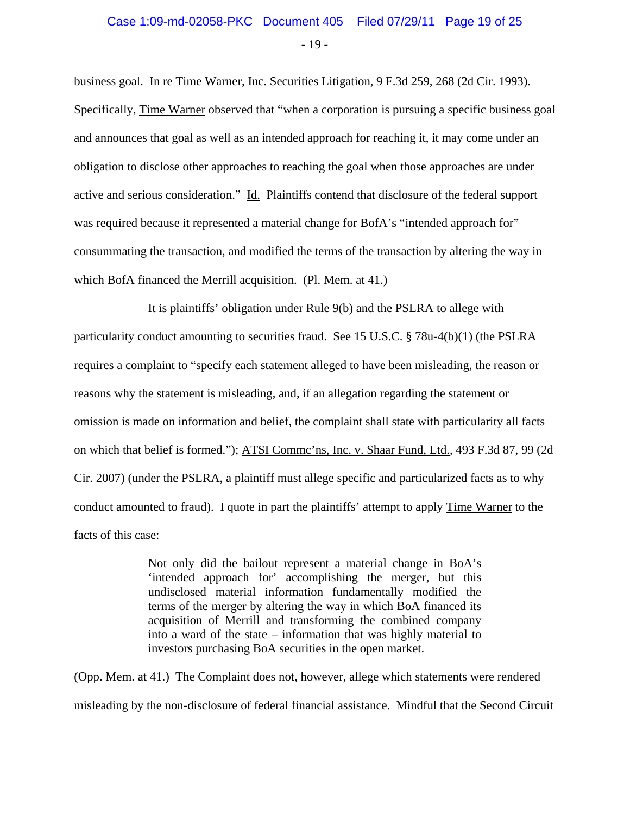- 19 -

business goal. In re Time Warner, Inc. Securities Litigation, 9 F.3d 259, 268 (2d Cir. 1993). Specifically, Time Warner observed that "when a corporation is pursuing a specific business goal and announces that goal as well as an intended approach for reaching it, it may come under an obligation to disclose other approaches to reaching the goal when those approaches are under active and serious consideration." Id. Plaintiffs contend that disclosure of the federal support was required because it represented a material change for BofA's "intended approach for" consummating the transaction, and modified the terms of the transaction by altering the way in which BofA financed the Merrill acquisition. (Pl. Mem. at 41.)

It is plaintiffs' obligation under Rule 9(b) and the PSLRA to allege with particularity conduct amounting to securities fraud. See 15 U.S.C. § 78u-4(b)(1) (the PSLRA requires a complaint to "specify each statement alleged to have been misleading, the reason or reasons why the statement is misleading, and, if an allegation regarding the statement or omission is made on information and belief, the complaint shall state with particularity all facts on which that belief is formed."); ATSI Commc'ns, Inc. v. Shaar Fund, Ltd., 493 F.3d 87, 99 (2d Cir. 2007) (under the PSLRA, a plaintiff must allege specific and particularized facts as to why conduct amounted to fraud). I quote in part the plaintiffs' attempt to apply Time Warner to the facts of this case:

> Not only did the bailout represent a material change in BoA's 'intended approach for' accomplishing the merger, but this undisclosed material information fundamentally modified the terms of the merger by altering the way in which BoA financed its acquisition of Merrill and transforming the combined company into a ward of the state – information that was highly material to investors purchasing BoA securities in the open market.

(Opp. Mem. at 41.) The Complaint does not, however, allege which statements were rendered misleading by the non-disclosure of federal financial assistance. Mindful that the Second Circuit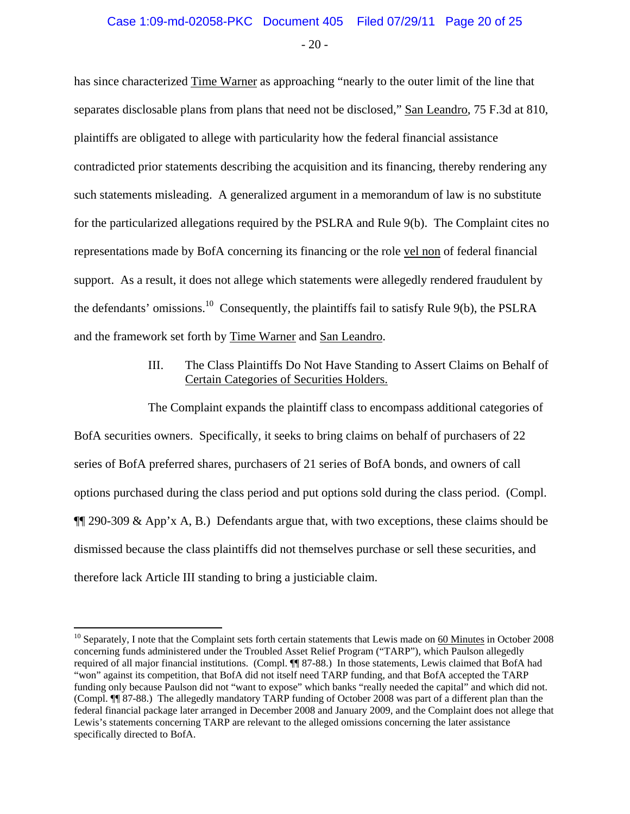### - 20 - Case 1:09-md-02058-PKC Document 405 Filed 07/29/11 Page 20 of 25

has since characterized Time Warner as approaching "nearly to the outer limit of the line that separates disclosable plans from plans that need not be disclosed," San Leandro, 75 F.3d at 810, plaintiffs are obligated to allege with particularity how the federal financial assistance contradicted prior statements describing the acquisition and its financing, thereby rendering any such statements misleading. A generalized argument in a memorandum of law is no substitute for the particularized allegations required by the PSLRA and Rule 9(b). The Complaint cites no representations made by BofA concerning its financing or the role vel non of federal financial support. As a result, it does not allege which statements were allegedly rendered fraudulent by the defendants' omissions.<sup>10</sup> Consequently, the plaintiffs fail to satisfy Rule 9(b), the PSLRA and the framework set forth by Time Warner and San Leandro.

### III. The Class Plaintiffs Do Not Have Standing to Assert Claims on Behalf of Certain Categories of Securities Holders.

The Complaint expands the plaintiff class to encompass additional categories of BofA securities owners. Specifically, it seeks to bring claims on behalf of purchasers of 22 series of BofA preferred shares, purchasers of 21 series of BofA bonds, and owners of call options purchased during the class period and put options sold during the class period. (Compl.  $\P$ [[290-309 & App'x A, B.) Defendants argue that, with two exceptions, these claims should be dismissed because the class plaintiffs did not themselves purchase or sell these securities, and therefore lack Article III standing to bring a justiciable claim.

 $\overline{a}$ 

 $10$  Separately, I note that the Complaint sets forth certain statements that Lewis made on  $60$  Minutes in October 2008 concerning funds administered under the Troubled Asset Relief Program ("TARP"), which Paulson allegedly required of all major financial institutions. (Compl. ¶¶ 87-88.) In those statements, Lewis claimed that BofA had "won" against its competition, that BofA did not itself need TARP funding, and that BofA accepted the TARP funding only because Paulson did not "want to expose" which banks "really needed the capital" and which did not. (Compl. ¶¶ 87-88.) The allegedly mandatory TARP funding of October 2008 was part of a different plan than the federal financial package later arranged in December 2008 and January 2009, and the Complaint does not allege that Lewis's statements concerning TARP are relevant to the alleged omissions concerning the later assistance specifically directed to BofA.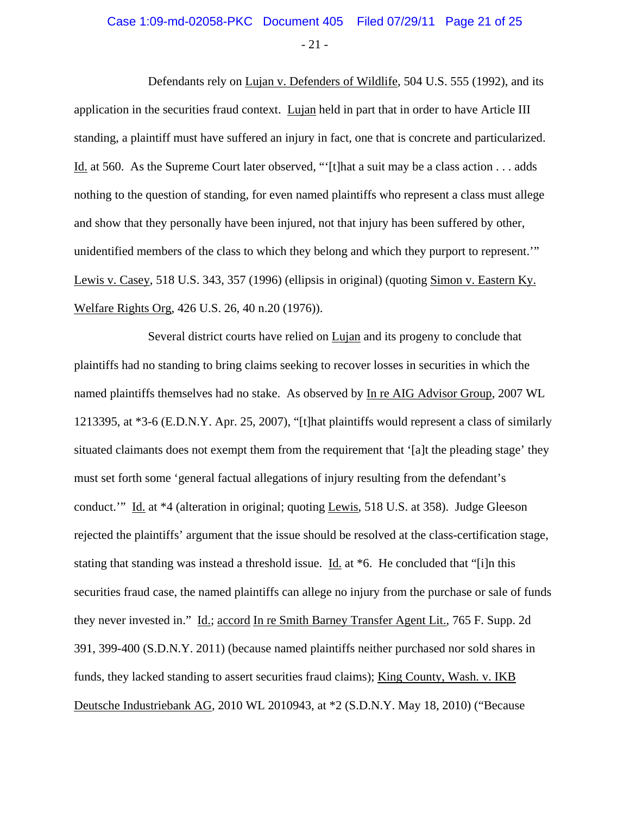# Case 1:09-md-02058-PKC Document 405 Filed 07/29/11 Page 21 of 25

- 21 -

Defendants rely on Lujan v. Defenders of Wildlife, 504 U.S. 555 (1992), and its application in the securities fraud context. Lujan held in part that in order to have Article III standing, a plaintiff must have suffered an injury in fact, one that is concrete and particularized. Id. at 560. As the Supreme Court later observed, "'[t]hat a suit may be a class action . . . adds nothing to the question of standing, for even named plaintiffs who represent a class must allege and show that they personally have been injured, not that injury has been suffered by other, unidentified members of the class to which they belong and which they purport to represent.'" Lewis v. Casey, 518 U.S. 343, 357 (1996) (ellipsis in original) (quoting Simon v. Eastern Ky. Welfare Rights Org, 426 U.S. 26, 40 n.20 (1976)).

Several district courts have relied on Lujan and its progeny to conclude that plaintiffs had no standing to bring claims seeking to recover losses in securities in which the named plaintiffs themselves had no stake. As observed by In re AIG Advisor Group, 2007 WL 1213395, at \*3-6 (E.D.N.Y. Apr. 25, 2007), "[t]hat plaintiffs would represent a class of similarly situated claimants does not exempt them from the requirement that '[a]t the pleading stage' they must set forth some 'general factual allegations of injury resulting from the defendant's conduct.'" Id. at \*4 (alteration in original; quoting Lewis, 518 U.S. at 358). Judge Gleeson rejected the plaintiffs' argument that the issue should be resolved at the class-certification stage, stating that standing was instead a threshold issue. Id. at \*6. He concluded that "[i]n this securities fraud case, the named plaintiffs can allege no injury from the purchase or sale of funds they never invested in." Id.; accord In re Smith Barney Transfer Agent Lit., 765 F. Supp. 2d 391, 399-400 (S.D.N.Y. 2011) (because named plaintiffs neither purchased nor sold shares in funds, they lacked standing to assert securities fraud claims); King County, Wash. v. IKB Deutsche Industriebank AG, 2010 WL 2010943, at \*2 (S.D.N.Y. May 18, 2010) ("Because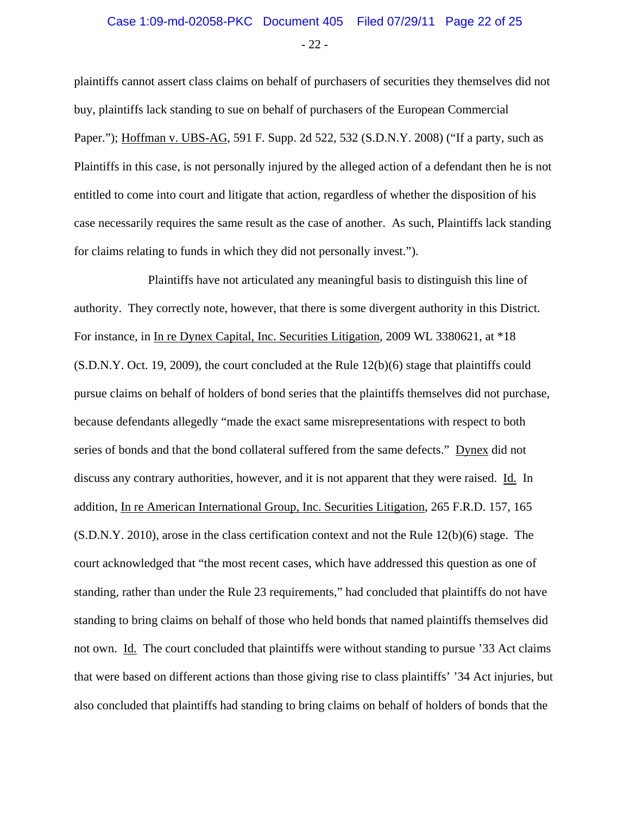### - 22 - Case 1:09-md-02058-PKC Document 405 Filed 07/29/11 Page 22 of 25

plaintiffs cannot assert class claims on behalf of purchasers of securities they themselves did not buy, plaintiffs lack standing to sue on behalf of purchasers of the European Commercial Paper."); Hoffman v. UBS-AG, 591 F. Supp. 2d 522, 532 (S.D.N.Y. 2008) ("If a party, such as Plaintiffs in this case, is not personally injured by the alleged action of a defendant then he is not entitled to come into court and litigate that action, regardless of whether the disposition of his case necessarily requires the same result as the case of another. As such, Plaintiffs lack standing for claims relating to funds in which they did not personally invest.").

Plaintiffs have not articulated any meaningful basis to distinguish this line of authority. They correctly note, however, that there is some divergent authority in this District. For instance, in In re Dynex Capital, Inc. Securities Litigation, 2009 WL 3380621, at \*18 (S.D.N.Y. Oct. 19, 2009), the court concluded at the Rule 12(b)(6) stage that plaintiffs could pursue claims on behalf of holders of bond series that the plaintiffs themselves did not purchase, because defendants allegedly "made the exact same misrepresentations with respect to both series of bonds and that the bond collateral suffered from the same defects." Dynex did not discuss any contrary authorities, however, and it is not apparent that they were raised. Id. In addition, In re American International Group, Inc. Securities Litigation, 265 F.R.D. 157, 165 (S.D.N.Y. 2010), arose in the class certification context and not the Rule 12(b)(6) stage. The court acknowledged that "the most recent cases, which have addressed this question as one of standing, rather than under the Rule 23 requirements," had concluded that plaintiffs do not have standing to bring claims on behalf of those who held bonds that named plaintiffs themselves did not own. Id. The court concluded that plaintiffs were without standing to pursue '33 Act claims that were based on different actions than those giving rise to class plaintiffs' '34 Act injuries, but also concluded that plaintiffs had standing to bring claims on behalf of holders of bonds that the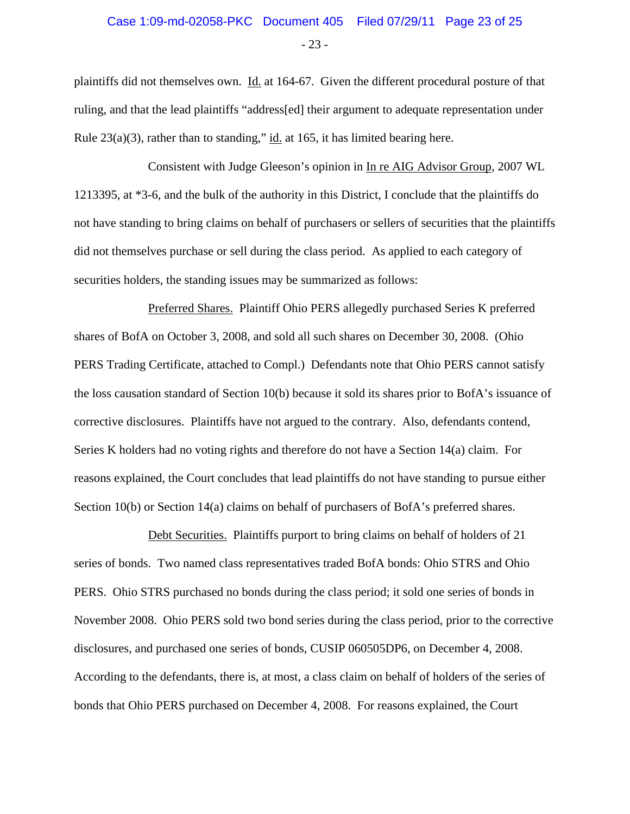### - 23 - Case 1:09-md-02058-PKC Document 405 Filed 07/29/11 Page 23 of 25

plaintiffs did not themselves own. Id. at 164-67. Given the different procedural posture of that ruling, and that the lead plaintiffs "address[ed] their argument to adequate representation under Rule  $23(a)(3)$ , rather than to standing," id. at 165, it has limited bearing here.

Consistent with Judge Gleeson's opinion in In re AIG Advisor Group, 2007 WL 1213395, at \*3-6, and the bulk of the authority in this District, I conclude that the plaintiffs do not have standing to bring claims on behalf of purchasers or sellers of securities that the plaintiffs did not themselves purchase or sell during the class period. As applied to each category of securities holders, the standing issues may be summarized as follows:

Preferred Shares. Plaintiff Ohio PERS allegedly purchased Series K preferred shares of BofA on October 3, 2008, and sold all such shares on December 30, 2008. (Ohio PERS Trading Certificate, attached to Compl.) Defendants note that Ohio PERS cannot satisfy the loss causation standard of Section 10(b) because it sold its shares prior to BofA's issuance of corrective disclosures. Plaintiffs have not argued to the contrary. Also, defendants contend, Series K holders had no voting rights and therefore do not have a Section 14(a) claim. For reasons explained, the Court concludes that lead plaintiffs do not have standing to pursue either Section 10(b) or Section 14(a) claims on behalf of purchasers of BofA's preferred shares.

Debt Securities. Plaintiffs purport to bring claims on behalf of holders of 21 series of bonds. Two named class representatives traded BofA bonds: Ohio STRS and Ohio PERS. Ohio STRS purchased no bonds during the class period; it sold one series of bonds in November 2008. Ohio PERS sold two bond series during the class period, prior to the corrective disclosures, and purchased one series of bonds, CUSIP 060505DP6, on December 4, 2008. According to the defendants, there is, at most, a class claim on behalf of holders of the series of bonds that Ohio PERS purchased on December 4, 2008. For reasons explained, the Court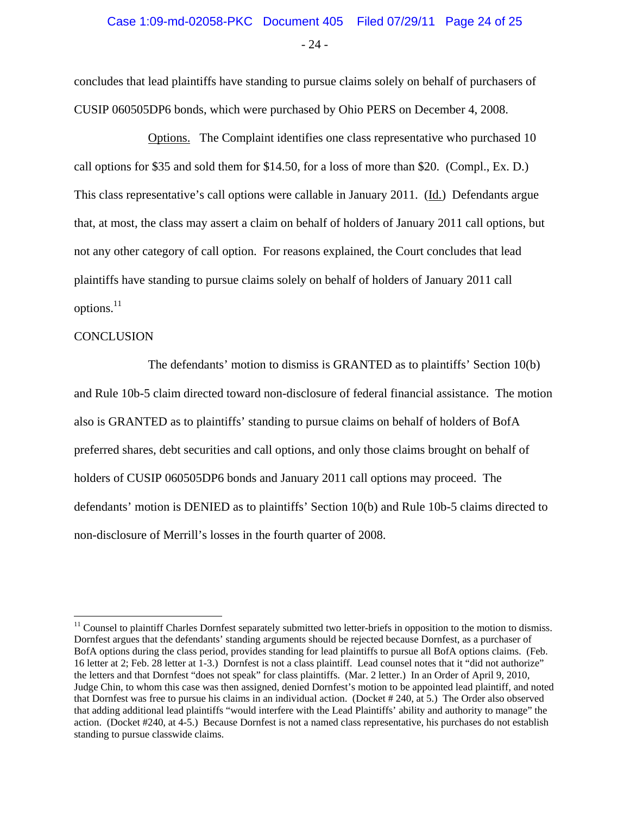concludes that lead plaintiffs have standing to pursue claims solely on behalf of purchasers of CUSIP 060505DP6 bonds, which were purchased by Ohio PERS on December 4, 2008.

Options. The Complaint identifies one class representative who purchased 10 call options for \$35 and sold them for \$14.50, for a loss of more than \$20. (Compl., Ex. D.) This class representative's call options were callable in January 2011. (Id.) Defendants argue that, at most, the class may assert a claim on behalf of holders of January 2011 call options, but not any other category of call option. For reasons explained, the Court concludes that lead plaintiffs have standing to pursue claims solely on behalf of holders of January 2011 call options. $^{11}$ 

#### **CONCLUSION**

 $\overline{a}$ 

The defendants' motion to dismiss is GRANTED as to plaintiffs' Section 10(b) and Rule 10b-5 claim directed toward non-disclosure of federal financial assistance. The motion also is GRANTED as to plaintiffs' standing to pursue claims on behalf of holders of BofA preferred shares, debt securities and call options, and only those claims brought on behalf of holders of CUSIP 060505DP6 bonds and January 2011 call options may proceed. The defendants' motion is DENIED as to plaintiffs' Section 10(b) and Rule 10b-5 claims directed to non-disclosure of Merrill's losses in the fourth quarter of 2008.

<sup>&</sup>lt;sup>11</sup> Counsel to plaintiff Charles Dornfest separately submitted two letter-briefs in opposition to the motion to dismiss. Dornfest argues that the defendants' standing arguments should be rejected because Dornfest, as a purchaser of BofA options during the class period, provides standing for lead plaintiffs to pursue all BofA options claims. (Feb. 16 letter at 2; Feb. 28 letter at 1-3.) Dornfest is not a class plaintiff. Lead counsel notes that it "did not authorize" the letters and that Dornfest "does not speak" for class plaintiffs. (Mar. 2 letter.) In an Order of April 9, 2010, Judge Chin, to whom this case was then assigned, denied Dornfest's motion to be appointed lead plaintiff, and noted that Dornfest was free to pursue his claims in an individual action. (Docket # 240, at 5.) The Order also observed that adding additional lead plaintiffs "would interfere with the Lead Plaintiffs' ability and authority to manage" the action. (Docket #240, at 4-5.) Because Dornfest is not a named class representative, his purchases do not establish standing to pursue classwide claims.